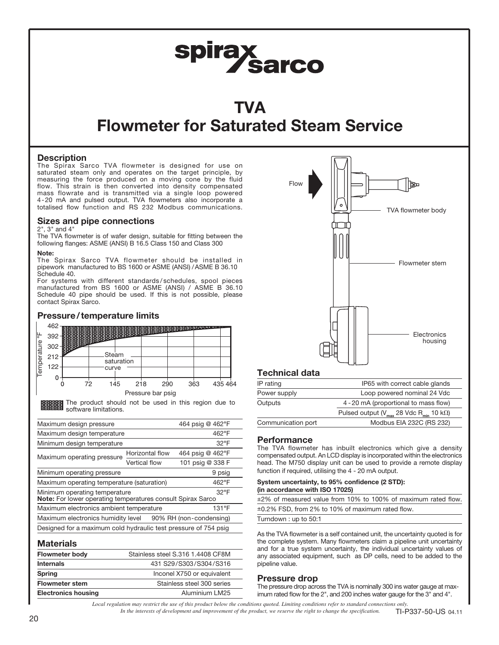# spirax<br>Sarco

## TVA Flowmeter for Saturated Steam Service

#### **Description**

The Spirax Sarco TVA flowmeter is designed for use on saturated steam only and operates on the target principle, by measuring the force produced on a moving cone by the fluid flow. This strain is then converted into density compensated mass flowrate and is transmitted via a single loop powered 4-20 mA and pulsed output. TVA flowmeters also incorporate a totalised flow function and RS 232 Modbus communications.

#### Sizes and pipe connections

#### 2", 3" and 4"

The TVA flowmeter is of wafer design, suitable for fitting between the following flanges: ASME (ANSI) B 16.5 Class 150 and Class 300

#### Note:

The Spirax Sarco TVA flowmeter should be installed in pipework manufactured to BS 1600 or ASME (ANSI) /ASME B 36.10 Schedule 40.

For systems with different standards / schedules, spool pieces manufactured from BS 1600 or ASME (ANSI) / ASME B 36.10 Schedule 40 pipe should be used. If this is not possible, please contact Spirax Sarco.

#### Pressure/temperature limits 462 8000000 Temperature °F 392 ure 302 Steam 212 emper saturation 122 curve  $\Omega$ 72 145 218 290 363 435 464  $\Omega$ Pressure bar psig

**THE THE PRODUCT** should not be used in this region due to **BBBBBBB** software limitations.

| Maximum design pressure                                         |  |                  |                                                                                                   |  |  |  |
|-----------------------------------------------------------------|--|------------------|---------------------------------------------------------------------------------------------------|--|--|--|
| Maximum design temperature                                      |  |                  |                                                                                                   |  |  |  |
|                                                                 |  | $32^{\circ}F$    |                                                                                                   |  |  |  |
| Horizontal flow                                                 |  | 464 psig @ 462°F |                                                                                                   |  |  |  |
|                                                                 |  | 101 psig @ 338 F |                                                                                                   |  |  |  |
|                                                                 |  | 9 psig           |                                                                                                   |  |  |  |
| Maximum operating temperature (saturation)<br>462°F             |  |                  |                                                                                                   |  |  |  |
| Minimum operating temperature                                   |  | $32^{\circ}F$    |                                                                                                   |  |  |  |
| Maximum electronics ambient temperature                         |  |                  |                                                                                                   |  |  |  |
| Maximum electronics humidity level<br>90% RH (non-condensing)   |  |                  |                                                                                                   |  |  |  |
| Designed for a maximum cold hydraulic test pressure of 754 psig |  |                  |                                                                                                   |  |  |  |
|                                                                 |  | Vertical flow    | 464 psig @ 462°F<br>462°F<br>Note: For lower operating temperatures consult Spirax Sarco<br>131°F |  |  |  |

#### **Materials**

| --------------             |                                   |
|----------------------------|-----------------------------------|
| <b>Flowmeter body</b>      | Stainless steel S.316 1.4408 CF8M |
| <b>Internals</b>           | 431 S29/S303/S304/S316            |
| <b>Spring</b>              | Inconel X750 or equivalent        |
| <b>Flowmeter stem</b>      | Stainless steel 300 series        |
| <b>Electronics housing</b> | Aluminium LM25                    |
|                            |                                   |



| Loop powered nominal 24 Vdc                                       |  |  |  |  |  |
|-------------------------------------------------------------------|--|--|--|--|--|
| 4 - 20 mA (proportional to mass flow)                             |  |  |  |  |  |
| Pulsed output ( $V_{max}$ 28 Vdc R <sub>min</sub> 10 k $\Omega$ ) |  |  |  |  |  |
| Modbus EIA 232C (RS 232)                                          |  |  |  |  |  |
|                                                                   |  |  |  |  |  |

#### **Performance**

The TVA flowmeter has inbuilt electronics which give a density compensated output. An LCD display is incorporated within the electronics head. The M750 display unit can be used to provide a remote display function if required, utilising the 4 - 20 mA output.

#### System uncertainty, to 95% confidence (2 STD): (in accordance with ISO 17025)

±2% of measured value from 10% to 100% of maximum rated flow. ±0.2% FSD, from 2% to 10% of maximum rated flow.

Turndown : up to 50:1

As the TVA flowmeter is a self contained unit, the uncertainty quoted is for the complete system. Many flowmeters claim a pipeline unit uncertainty and for a true system uncertainty, the individual uncertainty values of any associated equipment, such as DP cells, need to be added to the pipeline value.

#### Pressure drop

The pressure drop across the TVA is nominally 300 ins water gauge at maximum rated flow for the 2", and 200 inches water gauge for the 3" and 4".

*Local regulation may restrict the use of this product below the conditions quoted. Limiting conditions refer to standard connections only. In the interests of development and improvement of the product, we reserve the right to change the specification.* TI-P337-50-US 04.11